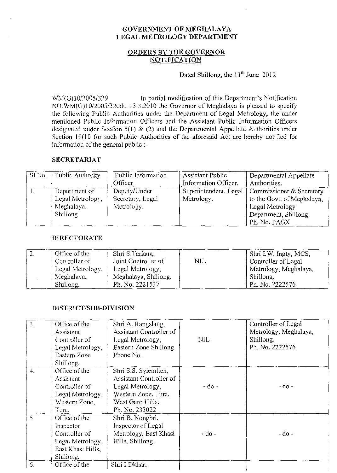# GOVERNMENT OF MEGHALAYA LEGAL METROLOGY DEPARTMENT

## ORDERS BY THE GOVERNOR NOTIFICATION

Dated Shillong, the 11<sup>th</sup> June 2012

WM(G)10/2005/329 In partial modification of this Department's Notification NO.WM(G)10/2005/320dt. 13.3.2010 the Governor of Meghalaya is pleased to specify the following Public Authorities under the Department of Legal Metrology, the under mentioned Public Information Officers and the Assistant Public Information Officers designated under Section 5(1) & (2) and the Departmental Appellate Authorities under Section 19(10 for such Public Authorities of the aforesaid Act are hereby notified for information of the general public :-

## SECRETARIAT

| Sl.No. | Public Authority | Public Information | Assistant Public      | Departmental Appellate     |
|--------|------------------|--------------------|-----------------------|----------------------------|
|        |                  | Officer            | Information Officer.  | Authorities.               |
|        | Department of    | Deputy/Under       | Superintendent, Legal | Commissioner & Secretary   |
|        | Legal Metrology, | Secretary, Legal   | Metrology.            | to the Govt. of Meghalaya, |
|        | Meghalaya,       | Metrology.         |                       | Legal Metrology            |
|        | <b>Shillong</b>  |                    |                       | Department, Shillong.      |
|        |                  |                    |                       | Ph. No. PABX               |

#### DIRECTORATE

| Ζ. | Office of the    | Shri S.Tariang,      |     | Shri I.W. Ingty, MCS, |
|----|------------------|----------------------|-----|-----------------------|
|    | Controller of    | Joint Controller of  | NIL | Controller of Legal   |
|    | Legal Metrology, | Legal Metrology,     |     | Metrology, Meghalaya, |
|    | Meghalaya,       | Meghalaya, Shillong. |     | Shillong.             |
|    | Shillong.        | Ph. No. 2221537      |     | Ph. No. 2222576       |

#### DISTRICT/SUB-DIVISION

| 3. | Office of the<br>Assistant<br>Controller of<br>Legal Metrology,<br>Eastern Zone<br>Shillong.      | Shri A. Rangslang,<br>Assistant Controller of<br>Legal Metrology,<br>Eastern Zone Shillong.<br>Phone No.                         | <b>NIL</b> | Controller of Legal<br>Metrology, Meghalaya,<br>Shillong.<br>Ph. No. 2222576 |
|----|---------------------------------------------------------------------------------------------------|----------------------------------------------------------------------------------------------------------------------------------|------------|------------------------------------------------------------------------------|
| 4. | Office of the<br>Assistant<br>Controller of<br>Legal Metrology,<br>Western Zone,<br>Tura.         | Shri S.S. Syiemlich,<br>Assistant Controller of<br>Legal Metrology,<br>Western Zone, Tura,<br>West Garo Hills.<br>Ph. No. 233022 | - do -     | - do -                                                                       |
| 5. | Office of the<br>Inspector<br>Controller of<br>Legal Metrology,<br>East Khasi Hills,<br>Shillong. | Shri B. Nongbri,<br>Inspector of Legal<br>Metrology, East Khasi<br>Hills, Shillong.                                              | - do -     | $-$ do $-$                                                                   |
| 6. | Office of the                                                                                     | Shri I.Dkhar,                                                                                                                    |            |                                                                              |